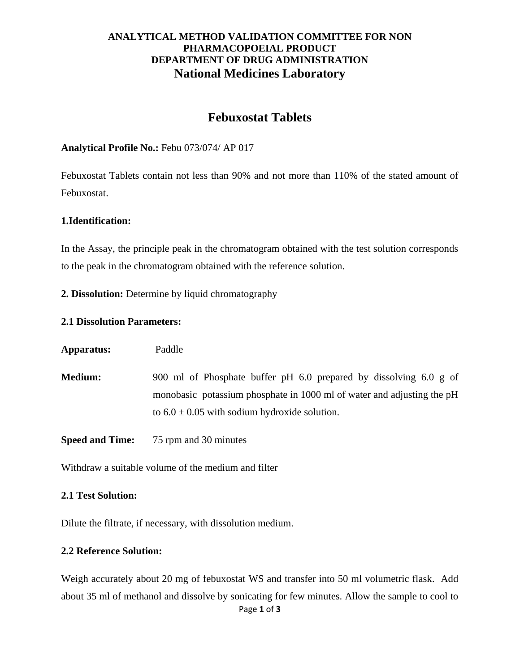### **ANALYTICAL METHOD VALIDATION COMMITTEE FOR NON PHARMACOPOEIAL PRODUCT DEPARTMENT OF DRUG ADMINISTRATION National Medicines Laboratory**

# **Febuxostat Tablets**

### **Analytical Profile No.:** Febu 073/074/ AP 017

Febuxostat Tablets contain not less than 90% and not more than 110% of the stated amount of Febuxostat.

### **1.Identification:**

In the Assay, the principle peak in the chromatogram obtained with the test solution corresponds to the peak in the chromatogram obtained with the reference solution.

**2. Dissolution:** Determine by liquid chromatography

### **2.1 Dissolution Parameters:**

**Apparatus:** Paddle

**Medium:** 900 ml of Phosphate buffer pH 6.0 prepared by dissolving 6.0 g of monobasic potassium phosphate in 1000 ml of water and adjusting the pH to  $6.0 \pm 0.05$  with sodium hydroxide solution.

**Speed and Time:** 75 rpm and 30 minutes

Withdraw a suitable volume of the medium and filter

#### **2.1 Test Solution:**

Dilute the filtrate, if necessary, with dissolution medium.

### **2.2 Reference Solution:**

Page **1** of **3** Weigh accurately about 20 mg of febuxostat WS and transfer into 50 ml volumetric flask. Add about 35 ml of methanol and dissolve by sonicating for few minutes. Allow the sample to cool to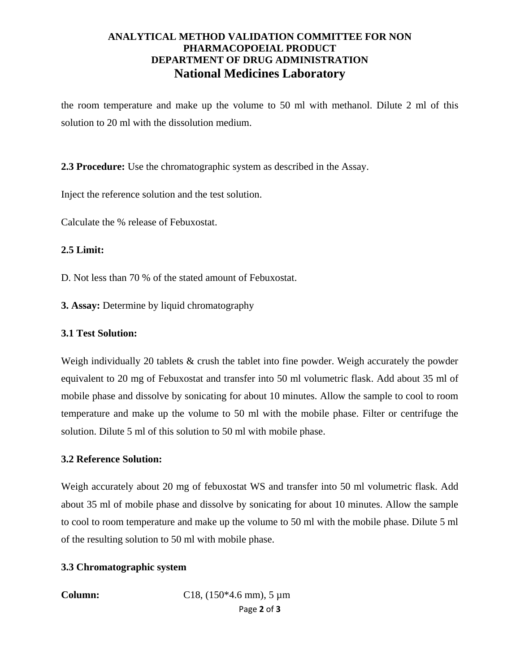### **ANALYTICAL METHOD VALIDATION COMMITTEE FOR NON PHARMACOPOEIAL PRODUCT DEPARTMENT OF DRUG ADMINISTRATION National Medicines Laboratory**

the room temperature and make up the volume to 50 ml with methanol. Dilute 2 ml of this solution to 20 ml with the dissolution medium.

**2.3 Procedure:** Use the chromatographic system as described in the Assay.

Inject the reference solution and the test solution.

Calculate the % release of Febuxostat.

### **2.5 Limit:**

- D. Not less than 70 % of the stated amount of Febuxostat.
- **3. Assay:** Determine by liquid chromatography

### **3.1 Test Solution:**

Weigh individually 20 tablets & crush the tablet into fine powder. Weigh accurately the powder equivalent to 20 mg of Febuxostat and transfer into 50 ml volumetric flask. Add about 35 ml of mobile phase and dissolve by sonicating for about 10 minutes. Allow the sample to cool to room temperature and make up the volume to 50 ml with the mobile phase. Filter or centrifuge the solution. Dilute 5 ml of this solution to 50 ml with mobile phase.

#### **3.2 Reference Solution:**

Weigh accurately about 20 mg of febuxostat WS and transfer into 50 ml volumetric flask. Add about 35 ml of mobile phase and dissolve by sonicating for about 10 minutes. Allow the sample to cool to room temperature and make up the volume to 50 ml with the mobile phase. Dilute 5 ml of the resulting solution to 50 ml with mobile phase.

### **3.3 Chromatographic system**

Page **2** of **3 Column:** C18, (150\*4.6 mm), 5  $\mu$ m